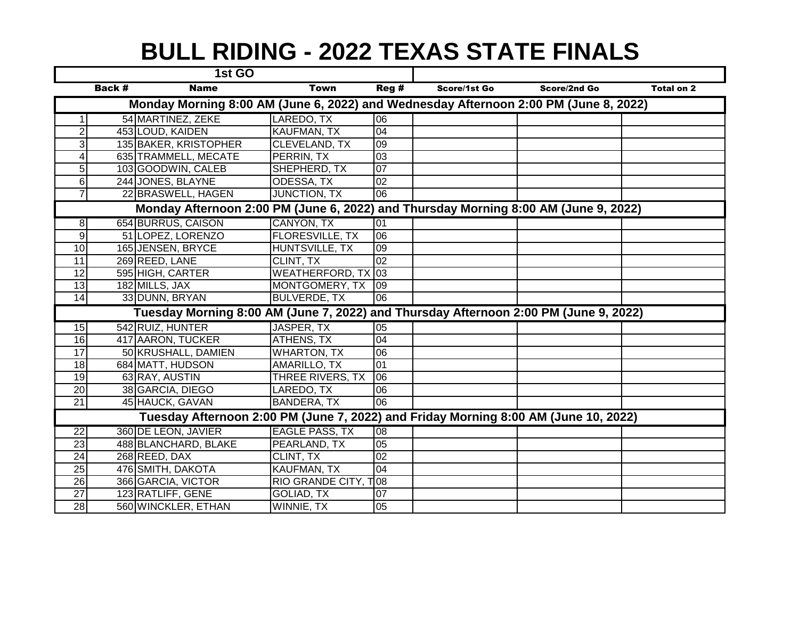## **BULL RIDING - 2022 TEXAS STATE FINALS**

|                                                                                      |        | 1st GO                |                           |                 |              |              |                   |  |  |  |  |  |
|--------------------------------------------------------------------------------------|--------|-----------------------|---------------------------|-----------------|--------------|--------------|-------------------|--|--|--|--|--|
|                                                                                      | Back # | <b>Name</b>           | <b>Town</b>               | Reg#            | Score/1st Go | Score/2nd Go | <b>Total on 2</b> |  |  |  |  |  |
| Monday Morning 8:00 AM (June 6, 2022) and Wednesday Afternoon 2:00 PM (June 8, 2022) |        |                       |                           |                 |              |              |                   |  |  |  |  |  |
|                                                                                      |        | 54 MARTINEZ, ZEKE     | LAREDO, TX                | 06              |              |              |                   |  |  |  |  |  |
| $\overline{2}$                                                                       |        | 453 LOUD, KAIDEN      | KAUFMAN, TX               | 04              |              |              |                   |  |  |  |  |  |
| 3                                                                                    |        | 135 BAKER, KRISTOPHER | CLEVELAND, TX             | 09              |              |              |                   |  |  |  |  |  |
| 4                                                                                    |        | 635 TRAMMELL, MECATE  | PERRIN, TX                | 03              |              |              |                   |  |  |  |  |  |
| 5                                                                                    |        | 103 GOODWIN, CALEB    | SHEPHERD, TX              | 07              |              |              |                   |  |  |  |  |  |
| 6                                                                                    |        | 244 JONES, BLAYNE     | ODESSA, TX                | $\overline{02}$ |              |              |                   |  |  |  |  |  |
| 7                                                                                    |        | 22 BRASWELL, HAGEN    | JUNCTION, TX              | 06              |              |              |                   |  |  |  |  |  |
| Monday Afternoon 2:00 PM (June 6, 2022) and Thursday Morning 8:00 AM (June 9, 2022)  |        |                       |                           |                 |              |              |                   |  |  |  |  |  |
| 8 <sup>1</sup>                                                                       |        | 654 BURRUS, CAISON    | CANYON, TX                | 01              |              |              |                   |  |  |  |  |  |
| $\overline{9}$                                                                       |        | 51 LOPEZ, LORENZO     | <b>FLORESVILLE, TX</b>    | 06              |              |              |                   |  |  |  |  |  |
| 10                                                                                   |        | 165 JENSEN, BRYCE     | HUNTSVILLE, TX            | 09              |              |              |                   |  |  |  |  |  |
| $\overline{11}$                                                                      |        | 269 REED, LANE        | CLINT, TX                 | 02              |              |              |                   |  |  |  |  |  |
| $\overline{12}$                                                                      |        | 595 HIGH, CARTER      | <b>WEATHERFORD, TX 03</b> |                 |              |              |                   |  |  |  |  |  |
| $\overline{13}$                                                                      |        | 182 MILLS, JAX        | MONTGOMERY, TX            | 09              |              |              |                   |  |  |  |  |  |
| $\overline{14}$                                                                      |        | 33 DUNN, BRYAN        | <b>BULVERDE, TX</b>       | 06              |              |              |                   |  |  |  |  |  |
| Tuesday Morning 8:00 AM (June 7, 2022) and Thursday Afternoon 2:00 PM (June 9, 2022) |        |                       |                           |                 |              |              |                   |  |  |  |  |  |
| 15                                                                                   |        | 542 RUIZ, HUNTER      | JASPER, TX                | 05              |              |              |                   |  |  |  |  |  |
| 16                                                                                   |        | 417 AARON, TUCKER     | <b>ATHENS, TX</b>         | 04              |              |              |                   |  |  |  |  |  |
| 17                                                                                   |        | 50 KRUSHALL, DAMIEN   | <b>WHARTON, TX</b>        | 06              |              |              |                   |  |  |  |  |  |
| 18                                                                                   |        | 684 MATT, HUDSON      | AMARILLO, TX              | 01              |              |              |                   |  |  |  |  |  |
| $\overline{19}$                                                                      |        | 63 RAY, AUSTIN        | THREE RIVERS, TX          | 06              |              |              |                   |  |  |  |  |  |
| 20                                                                                   |        | 38 GARCIA, DIEGO      | LAREDO, TX                | 06              |              |              |                   |  |  |  |  |  |
| 21                                                                                   |        | 45 HAUCK, GAVAN       | <b>BANDERA, TX</b>        | $\overline{00}$ |              |              |                   |  |  |  |  |  |
| Tuesday Afternoon 2:00 PM (June 7, 2022) and Friday Morning 8:00 AM (June 10, 2022)  |        |                       |                           |                 |              |              |                   |  |  |  |  |  |
| $\overline{22}$                                                                      |        | 360 DE LEON, JAVIER   | <b>EAGLE PASS, TX</b>     | $\overline{80}$ |              |              |                   |  |  |  |  |  |
| $\overline{23}$                                                                      |        | 488 BLANCHARD, BLAKE  | PEARLAND, TX              | $\overline{05}$ |              |              |                   |  |  |  |  |  |
| 24                                                                                   |        | 268 REED, DAX         | CLINT, TX                 | 02              |              |              |                   |  |  |  |  |  |
| 25                                                                                   |        | 476 SMITH, DAKOTA     | KAUFMAN, TX               | 04              |              |              |                   |  |  |  |  |  |
| $\overline{26}$                                                                      |        | 366 GARCIA, VICTOR    | RIO GRANDE CITY, T08      |                 |              |              |                   |  |  |  |  |  |
| 27                                                                                   |        | 123 RATLIFF, GENE     | GOLIAD, TX                | 07              |              |              |                   |  |  |  |  |  |
| 28                                                                                   |        | 560 WINCKLER, ETHAN   | WINNIE, TX                | 05              |              |              |                   |  |  |  |  |  |